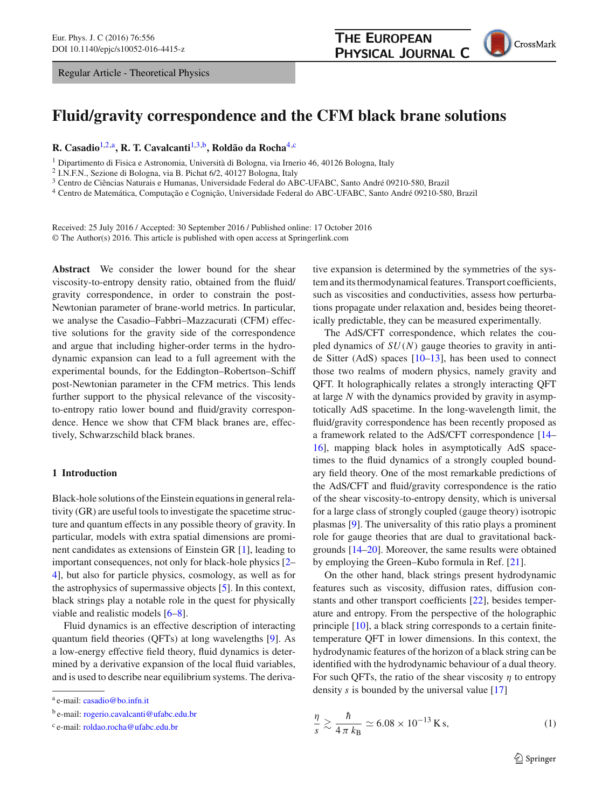Regular Article - Theoretical Physics

<span id="page-0-2"></span>

# **Fluid/gravity correspondence and the CFM black brane solutions**

# **R. Casadio**[1,2,](#page-0-0)a**, R. T. Cavalcanti**[1,](#page-0-0)[3,](#page-0-1)b**, Roldão da Rocha**[4,](#page-0-2)c

<sup>1</sup> Dipartimento di Fisica e Astronomia, Università di Bologna, via Irnerio 46, 40126 Bologna, Italy

<sup>2</sup> I.N.F.N., Sezione di Bologna, via B. Pichat 6/2, 40127 Bologna, Italy

<sup>3</sup> Centro de Ciências Naturais e Humanas, Universidade Federal do ABC-UFABC, Santo André 09210-580, Brazil

<sup>4</sup> Centro de Matemática, Computação e Cognição, Universidade Federal do ABC-UFABC, Santo André 09210-580, Brazil

Received: 25 July 2016 / Accepted: 30 September 2016 / Published online: 17 October 2016 © The Author(s) 2016. This article is published with open access at Springerlink.com

**Abstract** We consider the lower bound for the shear viscosity-to-entropy density ratio, obtained from the fluid/ gravity correspondence, in order to constrain the post-Newtonian parameter of brane-world metrics. In particular, we analyse the Casadio–Fabbri–Mazzacurati (CFM) effective solutions for the gravity side of the correspondence and argue that including higher-order terms in the hydrodynamic expansion can lead to a full agreement with the experimental bounds, for the Eddington–Robertson–Schiff post-Newtonian parameter in the CFM metrics. This lends further support to the physical relevance of the viscosityto-entropy ratio lower bound and fluid/gravity correspondence. Hence we show that CFM black branes are, effectively, Schwarzschild black branes.

## **1 Introduction**

Black-hole solutions of the Einstein equations in general relativity (GR) are useful tools to investigate the spacetime structure and quantum effects in any possible theory of gravity. In particular, models with extra spatial dimensions are prominent candidates as extensions of Einstein GR [\[1](#page-8-0)], leading to important consequences, not only for black-hole physics [\[2](#page-8-1)– [4](#page-8-2)], but also for particle physics, cosmology, as well as for the astrophysics of supermassive objects [\[5](#page-8-3)]. In this context, black strings play a notable role in the quest for physically viable and realistic models [\[6](#page-8-4)[–8](#page-8-5)].

Fluid dynamics is an effective description of interacting quantum field theories (QFTs) at long wavelengths [\[9](#page-8-6)]. As a low-energy effective field theory, fluid dynamics is determined by a derivative expansion of the local fluid variables, and is used to describe near equilibrium systems. The deriva<span id="page-0-1"></span><span id="page-0-0"></span>tive expansion is determined by the symmetries of the system and its thermodynamical features. Transport coefficients, such as viscosities and conductivities, assess how perturbations propagate under relaxation and, besides being theoretically predictable, they can be measured experimentally.

The AdS/CFT correspondence, which relates the coupled dynamics of *SU*(*N*) gauge theories to gravity in antide Sitter (AdS) spaces [\[10](#page-8-7)[–13\]](#page-8-8), has been used to connect those two realms of modern physics, namely gravity and QFT. It holographically relates a strongly interacting QFT at large *N* with the dynamics provided by gravity in asymptotically AdS spacetime. In the long-wavelength limit, the fluid/gravity correspondence has been recently proposed as a framework related to the AdS/CFT correspondence [\[14](#page-8-9)– [16](#page-8-10)], mapping black holes in asymptotically AdS spacetimes to the fluid dynamics of a strongly coupled boundary field theory. One of the most remarkable predictions of the AdS/CFT and fluid/gravity correspondence is the ratio of the shear viscosity-to-entropy density, which is universal for a large class of strongly coupled (gauge theory) isotropic plasmas [\[9](#page-8-6)]. The universality of this ratio plays a prominent role for gauge theories that are dual to gravitational backgrounds [\[14](#page-8-9)[–20](#page-8-11)]. Moreover, the same results were obtained by employing the Green–Kubo formula in Ref. [\[21](#page-8-12)].

On the other hand, black strings present hydrodynamic features such as viscosity, diffusion rates, diffusion constants and other transport coefficients [\[22\]](#page-8-13), besides temperature and entropy. From the perspective of the holographic principle [\[10](#page-8-7)], a black string corresponds to a certain finitetemperature QFT in lower dimensions. In this context, the hydrodynamic features of the horizon of a black string can be identified with the hydrodynamic behaviour of a dual theory. For such QFTs, the ratio of the shear viscosity  $\eta$  to entropy density *s* is bounded by the universal value [\[17](#page-8-14)]

$$
\frac{\eta}{s} \gtrsim \frac{\hbar}{4\pi k_{\text{B}}} \simeq 6.08 \times 10^{-13} \,\text{K s},\tag{1}
$$

<sup>a</sup> e-mail: [casadio@bo.infn.it](mailto:casadio@bo.infn.it)

<sup>b</sup> e-mail: [rogerio.cavalcanti@ufabc.edu.br](mailto:rogerio.cavalcanti@ufabc.edu.br)

<sup>c</sup> e-mail: [roldao.rocha@ufabc.edu.br](mailto:roldao.rocha@ufabc.edu.br)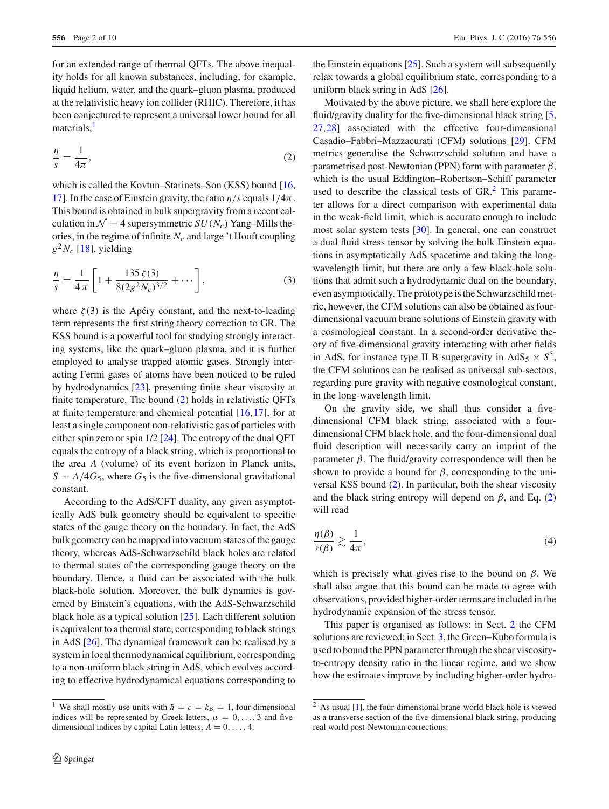for an extended range of thermal QFTs. The above inequality holds for all known substances, including, for example, liquid helium, water, and the quark–gluon plasma, produced at the relativistic heavy ion collider (RHIC). Therefore, it has been conjectured to represent a universal lower bound for all materials, $<sup>1</sup>$  $<sup>1</sup>$  $<sup>1</sup>$ </sup>

<span id="page-1-1"></span>
$$
\frac{\eta}{s} = \frac{1}{4\pi},\tag{2}
$$

which is called the Kovtun–Starinets–Son (KSS) bound [\[16,](#page-8-10) [17\]](#page-8-14). In the case of Einstein gravity, the ratio  $\eta/s$  equals  $1/4\pi$ . This bound is obtained in bulk supergravity from a recent calculation in  $\mathcal{N} = 4$  supersymmetric  $SU(N_c)$  Yang–Mills theories, in the regime of infinite  $N_c$  and large 't Hooft coupling  $g^2N_c$  [\[18](#page-8-15)], yielding

<span id="page-1-4"></span>
$$
\frac{\eta}{s} = \frac{1}{4\pi} \left[ 1 + \frac{135\,\zeta(3)}{8(2g^2 N_c)^{3/2}} + \cdots \right],\tag{3}
$$

where  $\zeta(3)$  is the Apéry constant, and the next-to-leading term represents the first string theory correction to GR. The KSS bound is a powerful tool for studying strongly interacting systems, like the quark–gluon plasma, and it is further employed to analyse trapped atomic gases. Strongly interacting Fermi gases of atoms have been noticed to be ruled by hydrodynamics [\[23\]](#page-8-16), presenting finite shear viscosity at finite temperature. The bound [\(2\)](#page-1-1) holds in relativistic QFTs at finite temperature and chemical potential [\[16,](#page-8-10)[17\]](#page-8-14), for at least a single component non-relativistic gas of particles with either spin zero or spin 1/2 [\[24\]](#page-8-17). The entropy of the dual QFT equals the entropy of a black string, which is proportional to the area *A* (volume) of its event horizon in Planck units,  $S = A/4G_5$ , where  $G_5$  is the five-dimensional gravitational constant.

According to the AdS/CFT duality, any given asymptotically AdS bulk geometry should be equivalent to specific states of the gauge theory on the boundary. In fact, the AdS bulk geometry can be mapped into vacuum states of the gauge theory, whereas AdS-Schwarzschild black holes are related to thermal states of the corresponding gauge theory on the boundary. Hence, a fluid can be associated with the bulk black-hole solution. Moreover, the bulk dynamics is governed by Einstein's equations, with the AdS-Schwarzschild black hole as a typical solution [\[25\]](#page-9-0). Each different solution is equivalent to a thermal state, corresponding to black strings in AdS [\[26\]](#page-9-1). The dynamical framework can be realised by a system in local thermodynamical equilibrium, corresponding to a non-uniform black string in AdS, which evolves according to effective hydrodynamical equations corresponding to

the Einstein equations [\[25\]](#page-9-0). Such a system will subsequently relax towards a global equilibrium state, corresponding to a uniform black string in AdS [\[26\]](#page-9-1).

Motivated by the above picture, we shall here explore the fluid/gravity duality for the five-dimensional black string [\[5,](#page-8-3) [27](#page-9-2)[,28](#page-9-3)] associated with the effective four-dimensional Casadio–Fabbri–Mazzacurati (CFM) solutions [\[29](#page-9-4)]. CFM metrics generalise the Schwarzschild solution and have a parametrised post-Newtonian (PPN) form with parameter  $\beta$ , which is the usual Eddington–Robertson–Schiff parameter used to describe the classical tests of  $GR<sup>2</sup>$  $GR<sup>2</sup>$  $GR<sup>2</sup>$ . This parameter allows for a direct comparison with experimental data in the weak-field limit, which is accurate enough to include most solar system tests [\[30\]](#page-9-5). In general, one can construct a dual fluid stress tensor by solving the bulk Einstein equations in asymptotically AdS spacetime and taking the longwavelength limit, but there are only a few black-hole solutions that admit such a hydrodynamic dual on the boundary, even asymptotically. The prototype is the Schwarzschild metric, however, the CFM solutions can also be obtained as fourdimensional vacuum brane solutions of Einstein gravity with a cosmological constant. In a second-order derivative theory of five-dimensional gravity interacting with other fields in AdS, for instance type II B supergravity in AdS<sub>5</sub>  $\times$  *S*<sup>5</sup>, the CFM solutions can be realised as universal sub-sectors, regarding pure gravity with negative cosmological constant, in the long-wavelength limit.

On the gravity side, we shall thus consider a fivedimensional CFM black string, associated with a fourdimensional CFM black hole, and the four-dimensional dual fluid description will necessarily carry an imprint of the parameter β. The fluid/gravity correspondence will then be shown to provide a bound for  $\beta$ , corresponding to the universal KSS bound [\(2\)](#page-1-1). In particular, both the shear viscosity and the black string entropy will depend on  $\beta$ , and Eq. [\(2\)](#page-1-1) will read

<span id="page-1-3"></span>
$$
\frac{\eta(\beta)}{s(\beta)} \gtrsim \frac{1}{4\pi},\tag{4}
$$

which is precisely what gives rise to the bound on  $\beta$ . We shall also argue that this bound can be made to agree with observations, provided higher-order terms are included in the hydrodynamic expansion of the stress tensor.

This paper is organised as follows: in Sect. [2](#page-2-0) the CFM solutions are reviewed; in Sect. [3,](#page-2-1) the Green–Kubo formula is used to bound the PPN parameter through the shear viscosityto-entropy density ratio in the linear regime, and we show how the estimates improve by including higher-order hydro-

<span id="page-1-0"></span><sup>&</sup>lt;sup>1</sup> We shall mostly use units with  $\hbar = c = k_B = 1$ , four-dimensional indices will be represented by Greek letters,  $\mu = 0, \ldots, 3$  and fivedimensional indices by capital Latin letters,  $A = 0, \ldots, 4$ .

<span id="page-1-2"></span> $2$  As usual [\[1\]](#page-8-0), the four-dimensional brane-world black hole is viewed as a transverse section of the five-dimensional black string, producing real world post-Newtonian corrections.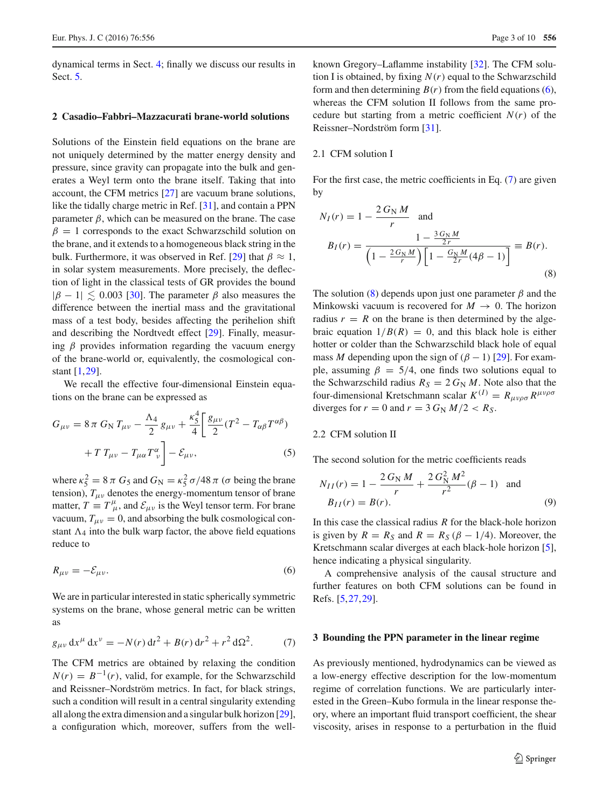dynamical terms in Sect. [4;](#page-5-0) finally we discuss our results in Sect. [5.](#page-7-0)

## <span id="page-2-0"></span>**2 Casadio–Fabbri–Mazzacurati brane-world solutions**

Solutions of the Einstein field equations on the brane are not uniquely determined by the matter energy density and pressure, since gravity can propagate into the bulk and generates a Weyl term onto the brane itself. Taking that into account, the CFM metrics [\[27](#page-9-2)] are vacuum brane solutions, like the tidally charge metric in Ref. [\[31](#page-9-6)], and contain a PPN parameter  $\beta$ , which can be measured on the brane. The case  $\beta = 1$  corresponds to the exact Schwarzschild solution on the brane, and it extends to a homogeneous black string in the bulk. Furthermore, it was observed in Ref. [\[29](#page-9-4)] that  $\beta \approx 1$ , in solar system measurements. More precisely, the deflection of light in the classical tests of GR provides the bound  $|\beta - 1| \leq 0.003$  [\[30\]](#page-9-5). The parameter  $\beta$  also measures the difference between the inertial mass and the gravitational mass of a test body, besides affecting the perihelion shift and describing the Nordtvedt effect [\[29\]](#page-9-4). Finally, measuring  $\beta$  provides information regarding the vacuum energy of the brane-world or, equivalently, the cosmological constant [\[1,](#page-8-0)[29\]](#page-9-4).

We recall the effective four-dimensional Einstein equations on the brane can be expressed as

$$
G_{\mu\nu} = 8 \pi G_{\rm N} T_{\mu\nu} - \frac{\Lambda_4}{2} g_{\mu\nu} + \frac{\kappa_5^4}{4} \left[ \frac{g_{\mu\nu}}{2} (T^2 - T_{\alpha\beta} T^{\alpha\beta}) + T T_{\mu\nu} - T_{\mu\alpha} T^{\alpha}_{\ \nu} \right] - \mathcal{E}_{\mu\nu}, \tag{5}
$$

where  $\kappa_5^2 = 8 \pi G_5$  and  $G_N = \kappa_5^2 \sigma / 48 \pi (\sigma \text{ being the brane})$ tension),  $T_{\mu\nu}$  denotes the energy-momentum tensor of brane matter,  $T = T^{\mu}_{\mu}$ , and  $\mathcal{E}_{\mu\nu}$  is the Weyl tensor term. For brane vacuum,  $T_{\mu\nu} = 0$ , and absorbing the bulk cosmological constant  $\Lambda_4$  into the bulk warp factor, the above field equations reduce to

<span id="page-2-2"></span>
$$
R_{\mu\nu} = -\mathcal{E}_{\mu\nu}.\tag{6}
$$

We are in particular interested in static spherically symmetric systems on the brane, whose general metric can be written as

<span id="page-2-3"></span>
$$
g_{\mu\nu} dx^{\mu} dx^{\nu} = -N(r) dt^2 + B(r) dr^2 + r^2 d\Omega^2.
$$
 (7)

The CFM metrics are obtained by relaxing the condition  $N(r) = B^{-1}(r)$ , valid, for example, for the Schwarzschild and Reissner–Nordström metrics. In fact, for black strings, such a condition will result in a central singularity extending all along the extra dimension and a singular bulk horizon [\[29](#page-9-4)], a configuration which, moreover, suffers from the wellknown Gregory–Laflamme instability [\[32](#page-9-7)]. The CFM solution I is obtained, by fixing *N*(*r*) equal to the Schwarzschild form and then determining  $B(r)$  from the field equations [\(6\)](#page-2-2), whereas the CFM solution II follows from the same procedure but starting from a metric coefficient  $N(r)$  of the Reissner–Nordström form [\[31](#page-9-6)].

## 2.1 CFM solution I

For the first case, the metric coefficients in Eq. [\(7\)](#page-2-3) are given by

<span id="page-2-4"></span>
$$
N_I(r) = 1 - \frac{2 G_{\rm N} M}{r} \text{ and}
$$
  
\n
$$
B_I(r) = \frac{1 - \frac{3 G_{\rm N} M}{2r}}{\left(1 - \frac{2 G_{\rm N} M}{r}\right) \left[1 - \frac{G_{\rm N} M}{2r} (4\beta - 1)\right]} \equiv B(r).
$$
\n(8)

The solution [\(8\)](#page-2-4) depends upon just one parameter  $\beta$  and the Minkowski vacuum is recovered for  $M \to 0$ . The horizon radius  $r = R$  on the brane is then determined by the algebraic equation  $1/B(R) = 0$ , and this black hole is either hotter or colder than the Schwarzschild black hole of equal mass *M* depending upon the sign of  $(\beta - 1)$  [\[29\]](#page-9-4). For example, assuming  $\beta = 5/4$ , one finds two solutions equal to the Schwarzschild radius  $R_S = 2 G_N M$ . Note also that the four-dimensional Kretschmann scalar  $K^{(I)} = R_{\mu\nu\rho\sigma} R^{\mu\nu\rho\sigma}$ diverges for  $r = 0$  and  $r = 3 G<sub>N</sub> M/2 < R<sub>S</sub>$ .

# 2.2 CFM solution II

The second solution for the metric coefficients reads

<span id="page-2-5"></span>
$$
N_{II}(r) = 1 - \frac{2 G_{\rm N} M}{r} + \frac{2 G_{\rm N}^2 M^2}{r^2} (\beta - 1) \text{ and}
$$
  
\n
$$
B_{II}(r) = B(r).
$$
 (9)

In this case the classical radius *R* for the black-hole horizon is given by  $R = R_S$  and  $R = R_S (\beta - 1/4)$ . Moreover, the Kretschmann scalar diverges at each black-hole horizon [\[5](#page-8-3)], hence indicating a physical singularity.

A comprehensive analysis of the causal structure and further features on both CFM solutions can be found in Refs. [\[5,](#page-8-3)[27](#page-9-2)[,29](#page-9-4)].

#### <span id="page-2-1"></span>**3 Bounding the PPN parameter in the linear regime**

As previously mentioned, hydrodynamics can be viewed as a low-energy effective description for the low-momentum regime of correlation functions. We are particularly interested in the Green–Kubo formula in the linear response theory, where an important fluid transport coefficient, the shear viscosity, arises in response to a perturbation in the fluid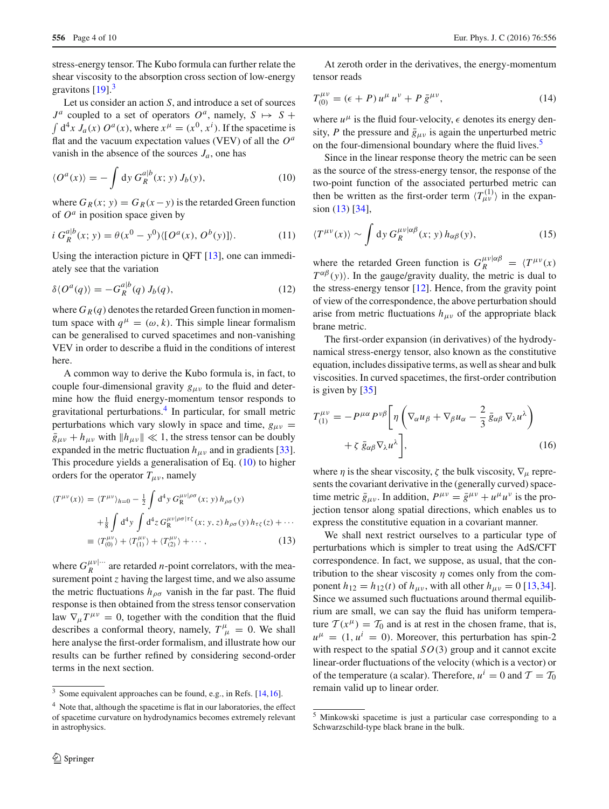stress-energy tensor. The Kubo formula can further relate the shear viscosity to the absorption cross section of low-energy gravitons  $[19]$ <sup>[3](#page-3-0)</sup>

Let us consider an action *S*, and introduce a set of sources  $J^a$  coupled to a set of operators  $O^a$ , namely,  $S \mapsto S +$  $\int d^4x J_a(x) O^a(x)$ , where  $x^{\mu} = (x^0, x^i)$ . If the spacetime is flat and the vacuum expectation values (VEV) of all the *O<sup>a</sup>* vanish in the absence of the sources  $J_a$ , one has

<span id="page-3-2"></span>
$$
\langle O^a(x) \rangle = -\int \mathrm{d}y \, G_R^{a|b}(x; y) J_b(y), \tag{10}
$$

where  $G_R(x; y) = G_R(x - y)$  is the retarded Green function of *O<sup>a</sup>* in position space given by

$$
i G_R^{a|b}(x; y) = \theta(x^0 - y^0) \langle [O^a(x), O^b(y)] \rangle.
$$
 (11)

Using the interaction picture in QFT [\[13](#page-8-8)], one can immediately see that the variation

<span id="page-3-6"></span>
$$
\delta \langle O^a(q) \rangle = -G_R^{a|b}(q) J_b(q), \tag{12}
$$

where  $G_R(q)$  denotes the retarded Green function in momentum space with  $q^{\mu} = (\omega, k)$ . This simple linear formalism can be generalised to curved spacetimes and non-vanishing VEV in order to describe a fluid in the conditions of interest here.

A common way to derive the Kubo formula is, in fact, to couple four-dimensional gravity  $g_{\mu\nu}$  to the fluid and determine how the fluid energy-momentum tensor responds to gravitational perturbations.[4](#page-3-1) In particular, for small metric perturbations which vary slowly in space and time,  $g_{\mu\nu}$  =  $\bar{g}_{\mu\nu} + h_{\mu\nu}$  with  $||h_{\mu\nu}|| \ll 1$ , the stress tensor can be doubly expanded in the metric fluctuation  $h_{\mu\nu}$  and in gradients [\[33](#page-9-8)]. This procedure yields a generalisation of Eq. [\(10\)](#page-3-2) to higher orders for the operator  $T_{\mu\nu}$ , namely

<span id="page-3-4"></span>
$$
\langle T^{\mu\nu}(x) \rangle = \langle T^{\mu\nu} \rangle_{h=0} - \frac{1}{2} \int d^4 y \, G_R^{\mu\nu|\rho\sigma}(x; y) \, h_{\rho\sigma}(y) \n+ \frac{1}{8} \int d^4 y \int d^4 z \, G_R^{\mu\nu|\rho\sigma|\tau\xi}(x; y, z) \, h_{\rho\sigma}(y) \, h_{\tau\xi}(z) + \cdots \n\equiv \langle T_{(0)}^{\mu\nu} \rangle + \langle T_{(1)}^{\mu\nu} \rangle + \langle T_{(2)}^{\mu\nu} \rangle + \cdots,
$$
\n(13)

where  $G_R^{\mu\nu|\cdots}$  are retarded *n*-point correlators, with the measurement point *z* having the largest time, and we also assume the metric fluctuations  $h_{\rho\sigma}$  vanish in the far past. The fluid response is then obtained from the stress tensor conservation law  $\nabla_{\mu}T^{\mu\nu} = 0$ , together with the condition that the fluid describes a conformal theory, namely,  $T^{\mu}_{\mu} = 0$ . We shall here analyse the first-order formalism, and illustrate how our results can be further refined by considering second-order terms in the next section.

At zeroth order in the derivatives, the energy-momentum tensor reads

<span id="page-3-7"></span>
$$
T_{(0)}^{\mu\nu} = (\epsilon + P) u^{\mu} u^{\nu} + P \bar{g}^{\mu\nu}, \qquad (14)
$$

where  $u^{\mu}$  is the fluid four-velocity,  $\epsilon$  denotes its energy density, *P* the pressure and  $\bar{g}_{\mu\nu}$  is again the unperturbed metric on the four-dimensional boundary where the fluid lives.<sup>5</sup>

Since in the linear response theory the metric can be seen as the source of the stress-energy tensor, the response of the two-point function of the associated perturbed metric can then be written as the first-order term  $\langle T_{\mu\nu}^{(1)} \rangle$  in the expansion [\(13\)](#page-3-4) [\[34\]](#page-9-9),

$$
\langle T^{\mu\nu}(x) \rangle \sim \int \mathrm{d}y \, G_R^{\mu\nu|\alpha\beta}(x; y) \, h_{\alpha\beta}(y),\tag{15}
$$

where the retarded Green function is  $G_R^{\mu\nu|\alpha\beta} = \langle T^{\mu\nu}(x) \rangle$  $T^{\alpha\beta}(y)$ . In the gauge/gravity duality, the metric is dual to the stress-energy tensor  $[12]$ . Hence, from the gravity point of view of the correspondence, the above perturbation should arise from metric fluctuations  $h_{\mu\nu}$  of the appropriate black brane metric.

The first-order expansion (in derivatives) of the hydrodynamical stress-energy tensor, also known as the constitutive equation, includes dissipative terms, as well as shear and bulk viscosities. In curved spacetimes, the first-order contribution is given by [\[35](#page-9-10)]

<span id="page-3-5"></span>
$$
T_{(1)}^{\mu\nu} = -P^{\mu\alpha} P^{\nu\beta} \left[ \eta \left( \nabla_{\alpha} u_{\beta} + \nabla_{\beta} u_{\alpha} - \frac{2}{3} \bar{g}_{\alpha\beta} \nabla_{\lambda} u^{\lambda} \right) + \zeta \bar{g}_{\alpha\beta} \nabla_{\lambda} u^{\lambda} \right],
$$
\n(16)

where  $\eta$  is the shear viscosity,  $\zeta$  the bulk viscosity,  $\nabla_{\mu}$  represents the covariant derivative in the (generally curved) spacetime metric  $\bar{g}_{\mu\nu}$ . In addition,  $P^{\mu\nu} = \bar{g}^{\mu\nu} + u^{\mu}u^{\nu}$  is the projection tensor along spatial directions, which enables us to express the constitutive equation in a covariant manner.

We shall next restrict ourselves to a particular type of perturbations which is simpler to treat using the AdS/CFT correspondence. In fact, we suppose, as usual, that the contribution to the shear viscosity  $\eta$  comes only from the component  $h_{12} = h_{12}(t)$  of  $h_{\mu\nu}$ , with all other  $h_{\mu\nu} = 0$  [\[13](#page-8-8)[,34](#page-9-9)]. Since we assumed such fluctuations around thermal equilibrium are small, we can say the fluid has uniform temperature  $T(x^{\mu}) = T_0$  and is at rest in the chosen frame, that is,  $u^{\mu} = (1, u^{i} = 0)$ . Moreover, this perturbation has spin-2 with respect to the spatial  $SO(3)$  group and it cannot excite linear-order fluctuations of the velocity (which is a vector) or of the temperature (a scalar). Therefore,  $u^i = 0$  and  $\mathcal{T} = \mathcal{T}_0$ remain valid up to linear order.

 $\frac{3}{3}$  Some equivalent approaches can be found, e.g., in Refs. [\[14,](#page-8-9)[16](#page-8-10)].

<span id="page-3-1"></span><span id="page-3-0"></span><sup>4</sup> Note that, although the spacetime is flat in our laboratories, the effect of spacetime curvature on hydrodynamics becomes extremely relevant in astrophysics.

<span id="page-3-3"></span><sup>5</sup> Minkowski spacetime is just a particular case corresponding to a Schwarzschild-type black brane in the bulk.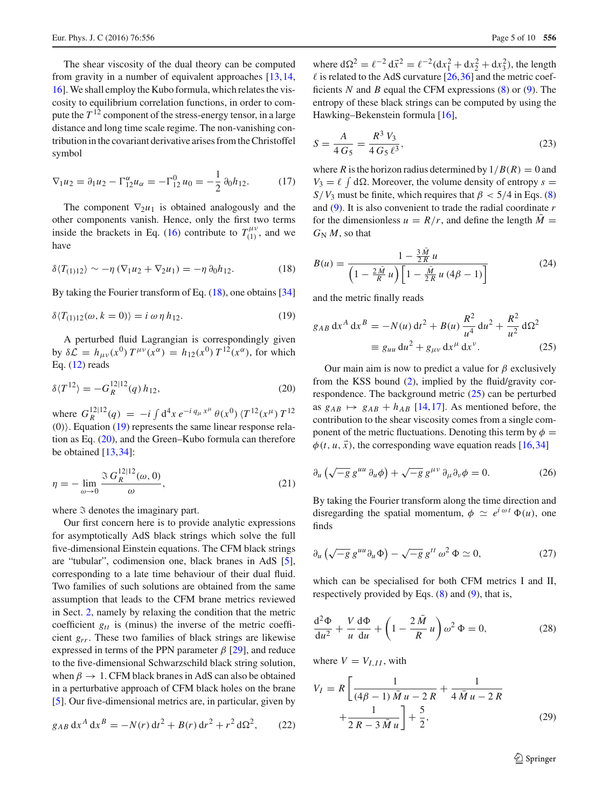The shear viscosity of the dual theory can be computed from gravity in a number of equivalent approaches [\[13](#page-8-8),[14,](#page-8-9) [16\]](#page-8-10). We shall employ the Kubo formula, which relates the viscosity to equilibrium correlation functions, in order to compute the  $T^{12}$  component of the stress-energy tensor, in a large distance and long time scale regime. The non-vanishing contribution in the covariant derivative arises from the Christoffel symbol

<span id="page-4-6"></span>
$$
\nabla_1 u_2 = \partial_1 u_2 - \Gamma_{12}^{\alpha} u_{\alpha} = -\Gamma_{12}^0 u_0 = -\frac{1}{2} \partial_0 h_{12}.
$$
 (17)

The component  $\nabla_2 u_1$  is obtained analogously and the other components vanish. Hence, only the first two terms inside the brackets in Eq. [\(16\)](#page-3-5) contribute to  $T_{(1)}^{\mu\nu}$ , and we have

<span id="page-4-0"></span>
$$
\delta \langle T_{(1)12} \rangle \sim -\eta \left( \nabla_1 u_2 + \nabla_2 u_1 \right) = -\eta \partial_0 h_{12}.
$$
 (18)

By taking the Fourier transform of Eq. [\(18\)](#page-4-0), one obtains [\[34\]](#page-9-9)

<span id="page-4-1"></span>
$$
\delta \langle T_{(1)12}(\omega, k=0) \rangle = i \omega \eta h_{12}.
$$
 (19)

A perturbed fluid Lagrangian is correspondingly given by  $\delta \mathcal{L} = h_{\mu\nu}(x^0) T^{\mu\nu}(x^{\alpha}) = h_{12}(x^0) T^{12}(x^{\alpha})$ , for which Eq. [\(12\)](#page-3-6) reads

<span id="page-4-2"></span>
$$
\delta \langle T^{12} \rangle = -G_R^{12|12}(q) \, h_{12},\tag{20}
$$

where  $G_R^{12|12}(q) = -i \int d^4x \, e^{-i q_\mu x^\mu} \theta(x^0) \, \langle T^{12}(x^\mu) \, T^{12} \rangle$  $(0)$ ). Equation [\(19\)](#page-4-1) represents the same linear response relation as Eq. [\(20\)](#page-4-2), and the Green–Kubo formula can therefore be obtained  $[13,34]$  $[13,34]$  $[13,34]$ :

<span id="page-4-5"></span>
$$
\eta = -\lim_{\omega \to 0} \frac{\Im G_R^{12|12}(\omega, 0)}{\omega},\tag{21}
$$

where  $\Im$  denotes the imaginary part.

Our first concern here is to provide analytic expressions for asymptotically AdS black strings which solve the full five-dimensional Einstein equations. The CFM black strings are "tubular", codimension one, black branes in AdS [\[5](#page-8-3)], corresponding to a late time behaviour of their dual fluid. Two families of such solutions are obtained from the same assumption that leads to the CFM brane metrics reviewed in Sect. [2,](#page-2-0) namely by relaxing the condition that the metric coefficient *gtt* is (minus) the inverse of the metric coefficient *grr*. These two families of black strings are likewise expressed in terms of the PPN parameter  $\beta$  [\[29\]](#page-9-4), and reduce to the five-dimensional Schwarzschild black string solution, when  $\beta \to 1$ . CFM black branes in AdS can also be obtained in a perturbative approach of CFM black holes on the brane [\[5](#page-8-3)]. Our five-dimensional metrics are, in particular, given by

$$
g_{AB} dx^A dx^B = -N(r) dt^2 + B(r) dr^2 + r^2 d\Omega^2, \qquad (22)
$$

where  $d\Omega^2 = \ell^{-2} d\vec{x}^2 = \ell^{-2} (dx_1^2 + dx_2^2 + dx_3^2)$ , the length  $\ell$  is related to the AdS curvature [\[26](#page-9-1)[,36](#page-9-11)] and the metric coefficients *N* and *B* equal the CFM expressions [\(8\)](#page-2-4) or [\(9\)](#page-2-5). The entropy of these black strings can be computed by using the Hawking–Bekenstein formula [\[16](#page-8-10)],

$$
S = \frac{A}{4 G_5} = \frac{R^3 V_3}{4 G_5 \ell^3},\tag{23}
$$

where *R* is the horizon radius determined by  $1/B(R) = 0$  and  $V_3 = \ell \int d\Omega$ . Moreover, the volume density of entropy  $s =$ *S*/*V*<sub>3</sub> must be finite, which requires that  $\beta$  < 5/4 in Eqs. [\(8\)](#page-2-4) and [\(9\)](#page-2-5). It is also convenient to trade the radial coordinate *r* for the dimensionless  $u = R/r$ , and define the length  $M =$  $G_N M$ , so that

$$
B(u) = \frac{1 - \frac{3M}{2R}u}{\left(1 - \frac{2\bar{M}}{R}u\right)\left[1 - \frac{\bar{M}}{2R}u(4\beta - 1)\right]}
$$
(24)

and the metric finally reads

<span id="page-4-3"></span>
$$
g_{AB} dx^{A} dx^{B} = -N(u) dt^{2} + B(u) \frac{R^{2}}{u^{4}} du^{2} + \frac{R^{2}}{u^{2}} d\Omega^{2}
$$
  

$$
\equiv g_{uu} du^{2} + g_{\mu\nu} dx^{\mu} dx^{\nu}.
$$
 (25)

Our main aim is now to predict a value for  $\beta$  exclusively from the KSS bound [\(2\)](#page-1-1), implied by the fluid/gravity correspondence. The background metric [\(25\)](#page-4-3) can be perturbed as  $g_{AB} \mapsto g_{AB} + h_{AB}$  [\[14,](#page-8-9)[17\]](#page-8-14). As mentioned before, the contribution to the shear viscosity comes from a single component of the metric fluctuations. Denoting this term by  $\phi =$  $\phi(t, u, \vec{x})$ , the corresponding wave equation reads [\[16,](#page-8-10)[34\]](#page-9-9)

$$
\partial_u \left( \sqrt{-g} \, g^{uu} \, \partial_u \phi \right) + \sqrt{-g} \, g^{\mu \nu} \, \partial_\mu \partial_\nu \phi = 0. \tag{26}
$$

By taking the Fourier transform along the time direction and disregarding the spatial momentum,  $\phi \simeq e^{i \omega t} \Phi(u)$ , one finds

$$
\partial_u \left( \sqrt{-g} \, g^{uu} \partial_u \Phi \right) - \sqrt{-g} \, g^{tt} \, \omega^2 \, \Phi \simeq 0, \tag{27}
$$

which can be specialised for both CFM metrics I and II, respectively provided by Eqs. [\(8\)](#page-2-4) and [\(9\)](#page-2-5), that is,

$$
\frac{d^2\Phi}{du^2} + \frac{V}{u}\frac{d\Phi}{du} + \left(1 - \frac{2\,\bar{M}}{R}\,u\right)\omega^2\,\Phi = 0,\tag{28}
$$

where  $V = V_{I,II}$ , with

<span id="page-4-4"></span>
$$
V_I = R \left[ \frac{1}{(4\beta - 1)\bar{M}u - 2R} + \frac{1}{4\bar{M}u - 2R} + \frac{1}{2R - 3\bar{M}u} \right] + \frac{5}{2},
$$
 (29)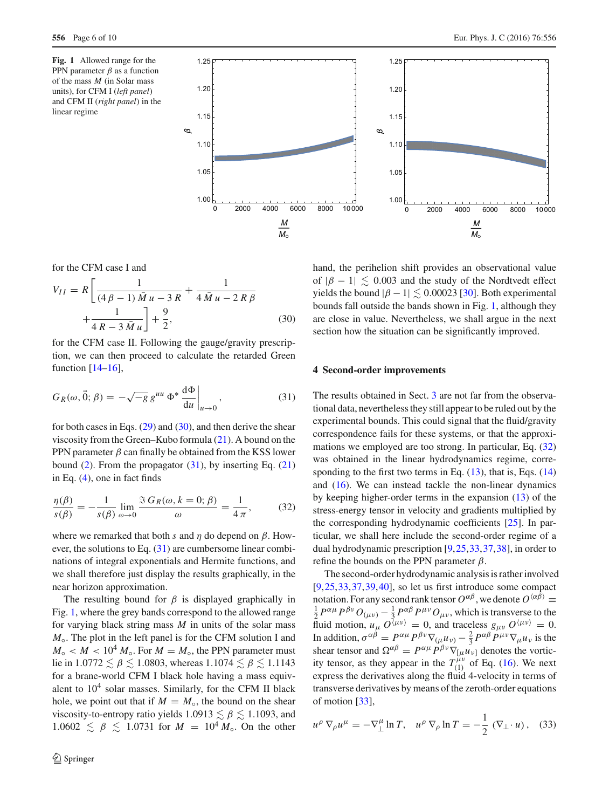<span id="page-5-3"></span>**Fig. 1** Allowed range for the PPN parameter  $\beta$  as a function of the mass *M* (in Solar mass units), for CFM I (*left panel*) and CFM II (*right panel*) in the linear regime



for the CFM case I and

<span id="page-5-1"></span>
$$
V_{II} = R \left[ \frac{1}{(4\beta - 1)\bar{M}u - 3R} + \frac{1}{4\bar{M}u - 2R\beta} + \frac{1}{4R - 3\bar{M}u} \right] + \frac{9}{2},
$$
 (30)

for the CFM case II. Following the gauge/gravity prescription, we can then proceed to calculate the retarded Green function [\[14](#page-8-9)[–16\]](#page-8-10),

<span id="page-5-2"></span>
$$
G_R(\omega, \vec{0}; \beta) = -\sqrt{-g} g^{uu} \Phi^* \frac{d\Phi}{du} \bigg|_{u \to 0}, \tag{31}
$$

for both cases in Eqs. [\(29\)](#page-4-4) and [\(30\)](#page-5-1), and then derive the shear viscosity from the Green–Kubo formula [\(21\)](#page-4-5). A bound on the PPN parameter  $\beta$  can finally be obtained from the KSS lower bound  $(2)$ . From the propagator  $(31)$ , by inserting Eq.  $(21)$ in Eq. [\(4\)](#page-1-3), one in fact finds

<span id="page-5-4"></span>
$$
\frac{\eta(\beta)}{s(\beta)} = -\frac{1}{s(\beta)} \lim_{\omega \to 0} \frac{\Im G_R(\omega, k = 0; \beta)}{\omega} = \frac{1}{4\pi},
$$
(32)

where we remarked that both *s* and  $\eta$  do depend on  $\beta$ . However, the solutions to Eq. [\(31\)](#page-5-2) are cumbersome linear combinations of integral exponentials and Hermite functions, and we shall therefore just display the results graphically, in the near horizon approximation.

The resulting bound for  $\beta$  is displayed graphically in Fig. [1,](#page-5-3) where the grey bands correspond to the allowed range for varying black string mass *M* in units of the solar mass *M*<sup>↑</sup>. The plot in the left panel is for the CFM solution I and  $M_{\circ}$  < *M* < 10<sup>4</sup>  $M_{\circ}$ . For  $M = M_{\circ}$ , the PPN parameter must lie in  $1.0772 \lesssim \beta \lesssim 1.0803$ , whereas  $1.1074 \lesssim \beta \lesssim 1.1143$ for a brane-world CFM I black hole having a mass equivalent to  $10<sup>4</sup>$  solar masses. Similarly, for the CFM II black hole, we point out that if  $M = M_{\circ}$ , the bound on the shear viscosity-to-entropy ratio yields  $1.0913 \lesssim \beta \lesssim 1.1093$ , and  $1.0602 \le \beta \le 1.0731$  for  $M = 10^4 M_{\odot}$ . On the other

hand, the perihelion shift provides an observational value of  $|\beta - 1| \le 0.003$  and the study of the Nordtvedt effect yields the bound  $|\beta - 1| \leq 0.00023$  [\[30\]](#page-9-5). Both experimental bounds fall outside the bands shown in Fig. [1,](#page-5-3) although they are close in value. Nevertheless, we shall argue in the next section how the situation can be significantly improved.

## <span id="page-5-0"></span>**4 Second-order improvements**

The results obtained in Sect. [3](#page-2-1) are not far from the observational data, nevertheless they still appear to be ruled out by the experimental bounds. This could signal that the fluid/gravity correspondence fails for these systems, or that the approximations we employed are too strong. In particular, Eq. [\(32\)](#page-5-4) was obtained in the linear hydrodynamics regime, corresponding to the first two terms in Eq.  $(13)$ , that is, Eqs.  $(14)$ and  $(16)$ . We can instead tackle the non-linear dynamics by keeping higher-order terms in the expansion [\(13\)](#page-3-4) of the stress-energy tensor in velocity and gradients multiplied by the corresponding hydrodynamic coefficients [\[25\]](#page-9-0). In particular, we shall here include the second-order regime of a dual hydrodynamic prescription [\[9](#page-8-6)[,25](#page-9-0)[,33](#page-9-8),[37,](#page-9-12)[38\]](#page-9-13), in order to refine the bounds on the PPN parameter  $\beta$ .

The second-order hydrodynamic analysis is rather involved [\[9](#page-8-6),[25,](#page-9-0)[33](#page-9-8)[,37](#page-9-12)[,39](#page-9-14),[40\]](#page-9-15), so let us first introduce some compact notation. For any second rank tensor  $O^{\alpha\beta}$ , we denote  $O^{\langle\alpha\beta\rangle}$   $\equiv$  $\frac{1}{2}P^{\alpha\mu}P^{\beta\nu}O_{(\mu\nu)} - \frac{1}{3}P^{\alpha\beta}P^{\mu\nu}O_{\mu\nu}$ , which is transverse to the fluid motion,  $u_{\mu}$   $O^{\langle \mu \nu \rangle} = 0$ , and traceless  $g_{\mu\nu} O^{\langle \mu \nu \rangle} = 0$ . In addition,  $\sigma^{\alpha\beta} = P^{\alpha\mu} P^{\beta\nu} \nabla_{(\mu\mu\nu)} - \frac{2}{3} P^{\alpha\beta} P^{\mu\nu} \nabla_{\mu} u_{\nu}$  is the shear tensor and  $\Omega^{\alpha\beta} = P^{\alpha\mu} P^{\beta\nu} \nabla_{[\mu} u_{\nu]}$  denotes the vorticity tensor, as they appear in the  $T_{(1)}^{\mu\nu}$  of Eq. [\(16\)](#page-3-5). We next express the derivatives along the fluid 4-velocity in terms of transverse derivatives by means of the zeroth-order equations of motion [\[33\]](#page-9-8),

<span id="page-5-5"></span>
$$
u^{\rho} \nabla_{\rho} u^{\mu} = -\nabla_{\perp}^{\mu} \ln T, \quad u^{\rho} \nabla_{\rho} \ln T = -\frac{1}{2} (\nabla_{\perp} \cdot u), \quad (33)
$$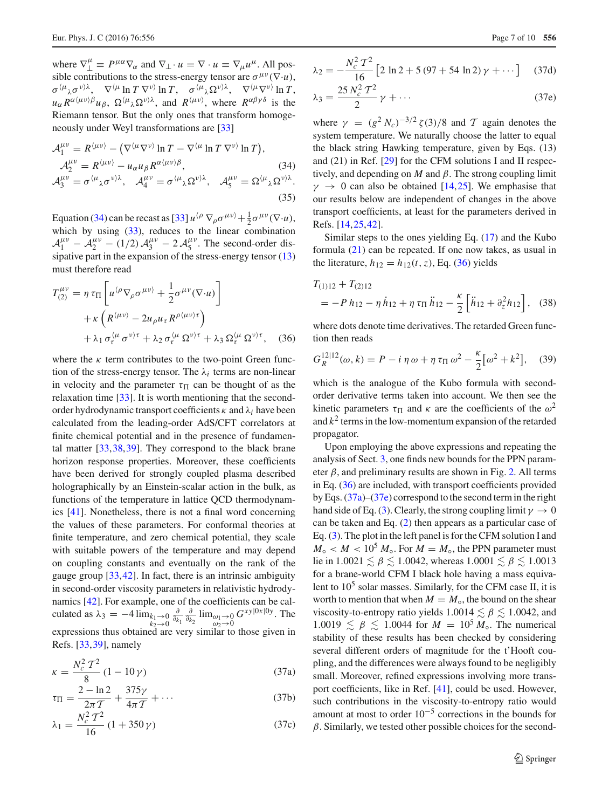where  $\nabla_{\perp}^{\mu} \equiv P^{\mu\alpha} \nabla_{\alpha}$  and  $\nabla_{\perp} \cdot u = \nabla \cdot u \equiv \nabla_{\mu} u^{\mu}$ . All possible contributions to the stress-energy tensor are  $\sigma^{\mu\nu}(\nabla\cdot u)$ ,  $\sigma^{\langle \mu}{}_{\lambda} \sigma^{\nu \rangle \lambda}$ ,  $\nabla^{\langle \mu} \ln T \nabla^{\nu \rangle} \ln T$ ,  $\sigma^{\langle \mu}{}_{\lambda} \Omega^{\nu \rangle \lambda}$ ,  $\nabla^{\langle \mu} \nabla^{\nu \rangle} \ln T$ ,  $u_{\alpha} R^{\alpha(\mu\nu)} \beta u_{\beta}$ ,  $\Omega^{(\mu)} \lambda \Omega^{\nu} \lambda$ , and  $R^{(\mu\nu)}$ , where  $R^{\alpha\beta\gamma\delta}$  is the Riemann tensor. But the only ones that transform homogeneously under Weyl transformations are [\[33\]](#page-9-8)

<span id="page-6-0"></span>
$$
\mathcal{A}_{1}^{\mu\nu} = R^{\langle \mu\nu \rangle} - (\nabla^{\langle \mu} \nabla^{\nu \rangle} \ln T - \nabla^{\langle \mu} \ln T \nabla^{\nu \rangle} \ln T),
$$
  
\n
$$
\mathcal{A}_{2}^{\mu\nu} = R^{\langle \mu\nu \rangle} - u_{\alpha} u_{\beta} R^{\alpha \langle \mu\nu \rangle \beta}, \qquad (34)
$$
  
\n
$$
\mathcal{A}_{3}^{\mu\nu} = \sigma^{\langle \mu}{}_{\lambda} \sigma^{\nu \rangle \lambda}, \quad \mathcal{A}_{4}^{\mu\nu} = \sigma^{\langle \mu}{}_{\lambda} \Omega^{\nu \rangle \lambda}, \quad \mathcal{A}_{5}^{\mu\nu} = \Omega^{\langle \mu}{}_{\lambda} \Omega^{\nu \rangle \lambda}. \qquad (35)
$$

Equation [\(34\)](#page-6-0) can be recast as [\[33](#page-9-8)]  $u^{(\rho)} \nabla_{\rho} \sigma^{\mu \nu} + \frac{1}{2} \sigma^{\mu \nu} (\nabla \cdot u)$ , which by using  $(33)$ , reduces to the linear combination  $A_1^{\mu\nu} - A_2^{\mu\nu} - (1/2) A_3^{\mu\nu} - 2 A_5^{\mu\nu}$ . The second-order dissipative part in the expansion of the stress-energy tensor [\(13\)](#page-3-4) must therefore read

<span id="page-6-1"></span>
$$
T_{(2)}^{\mu\nu} = \eta \,\tau_{\Pi} \left[ u^{\langle \rho} \nabla_{\rho} \sigma^{\mu\nu \rangle} + \frac{1}{2} \sigma^{\mu\nu} (\nabla \cdot u) \right] + \kappa \left( R^{\langle \mu\nu \rangle} - 2u_{\rho} u_{\tau} R^{\rho \langle \mu\nu \rangle \tau} \right) + \lambda_1 \sigma_{\tau}^{\langle \mu} \sigma^{\nu \rangle \tau} + \lambda_2 \sigma_{\tau}^{\langle \mu} \Omega^{\nu \rangle \tau} + \lambda_3 \Omega_{\tau}^{\langle \mu} \Omega^{\nu \rangle \tau}, \quad (36)
$$

where the  $\kappa$  term contributes to the two-point Green function of the stress-energy tensor. The  $\lambda_i$  terms are non-linear in velocity and the parameter  $\tau_{\Pi}$  can be thought of as the relaxation time [\[33\]](#page-9-8). It is worth mentioning that the secondorder hydrodynamic transport coefficients κ and λ*i* have been calculated from the leading-order AdS/CFT correlators at finite chemical potential and in the presence of fundamental matter [\[33](#page-9-8)[,38](#page-9-13)[,39](#page-9-14)]. They correspond to the black brane horizon response properties. Moreover, these coefficients have been derived for strongly coupled plasma described holographically by an Einstein-scalar action in the bulk, as functions of the temperature in lattice QCD thermodynamics [\[41\]](#page-9-16). Nonetheless, there is not a final word concerning the values of these parameters. For conformal theories at finite temperature, and zero chemical potential, they scale with suitable powers of the temperature and may depend on coupling constants and eventually on the rank of the gauge group [\[33,](#page-9-8)[42\]](#page-9-17). In fact, there is an intrinsic ambiguity in second-order viscosity parameters in relativistic hydrodynamics [\[42\]](#page-9-17). For example, one of the coefficients can be calculated as  $\lambda_3 = -4 \lim_{k_1 \to 0} k_2 \to 0$  $rac{\partial}{\partial k_1} \frac{\partial}{\partial k_2}$   $\lim_{\substack{\omega_1 \to 0 \\ \omega_2 \to 0}} G^{xy|0x|0y}$ . The expressions thus obtained are very similar to those given in Refs. [\[33,](#page-9-8)[39\]](#page-9-14), namely

<span id="page-6-2"></span>
$$
\kappa = \frac{N_c^2 T^2}{8} (1 - 10 \gamma)
$$
 (37a)

$$
\tau_{\Pi} = \frac{2 - \ln 2}{2\pi T} + \frac{375\gamma}{4\pi T} + \dots
$$
 (37b)

$$
\lambda_1 = \frac{N_c^2 T^2}{16} (1 + 350 \gamma)
$$
 (37c)

$$
\lambda_2 = -\frac{N_c^2 \, T^2}{16} \left[ 2 \, \ln 2 + 5 \, (97 + 54 \, \ln 2) \, \gamma + \dots \right] \tag{37d}
$$

$$
\lambda_3 = \frac{25 N_c^2 T^2}{2} \gamma + \dots \tag{37e}
$$

where  $\gamma = (g^2 N_c)^{-3/2} \zeta(3)/8$  and T again denotes the system temperature. We naturally choose the latter to equal the black string Hawking temperature, given by Eqs. (13) and (21) in Ref. [\[29\]](#page-9-4) for the CFM solutions I and II respectively, and depending on *M* and  $\beta$ . The strong coupling limit  $\gamma \rightarrow 0$  can also be obtained [\[14](#page-8-9),[25\]](#page-9-0). We emphasise that our results below are independent of changes in the above transport coefficients, at least for the parameters derived in Refs. [\[14,](#page-8-9)[25](#page-9-0)[,42](#page-9-17)].

Similar steps to the ones yielding Eq. [\(17\)](#page-4-6) and the Kubo formula [\(21\)](#page-4-5) can be repeated. If one now takes, as usual in the literature,  $h_{12} = h_{12}(t, z)$ , Eq. [\(36\)](#page-6-1) yields

$$
T_{(1)12} + T_{(2)12}
$$
  
= -P h<sub>12</sub> -  $\eta$  h<sub>12</sub> +  $\eta$   $\tau_{\Pi}$  h<sub>12</sub> -  $\frac{\kappa}{2}$   $\left[ \ddot{h}_{12} + \partial_z^2 h_{12} \right]$ , (38)

where dots denote time derivatives. The retarded Green function then reads

$$
G_R^{12|12}(\omega, k) = P - i \eta \omega + \eta \tau_\Pi \omega^2 - \frac{\kappa}{2} [\omega^2 + k^2], \quad (39)
$$

which is the analogue of the Kubo formula with secondorder derivative terms taken into account. We then see the kinetic parameters  $\tau_{\Pi}$  and  $\kappa$  are the coefficients of the  $\omega^2$ and  $k^2$  terms in the low-momentum expansion of the retarded propagator.

Upon employing the above expressions and repeating the analysis of Sect. [3,](#page-2-1) one finds new bounds for the PPN parameter  $\beta$ , and preliminary results are shown in Fig. [2.](#page-7-1) All terms in Eq. [\(36\)](#page-6-1) are included, with transport coefficients provided by Eqs. [\(37a\)](#page-6-2)–[\(37e\)](#page-6-2) correspond to the second term in the right hand side of Eq. [\(3\)](#page-1-4). Clearly, the strong coupling limit  $\gamma \to 0$ can be taken and Eq. [\(2\)](#page-1-1) then appears as a particular case of Eq. [\(3\)](#page-1-4). The plot in the left panel is for the CFM solution I and  $M_{\circ}$  < *M* < 10<sup>5</sup>  $M_{\circ}$ . For  $M = M_{\circ}$ , the PPN parameter must lie in  $1.0021 \leq \beta \leq 1.0042$ , whereas  $1.0001 \leq \beta \leq 1.0013$ for a brane-world CFM I black hole having a mass equivalent to  $10<sup>5</sup>$  solar masses. Similarly, for the CFM case II, it is worth to mention that when  $M = M_{\circ}$ , the bound on the shear viscosity-to-entropy ratio yields  $1.0014 \lesssim \beta \lesssim 1.0042$ , and  $1.0019 \leq \beta \leq 1.0044$  for  $M = 10^5 M_\circ$ . The numerical stability of these results has been checked by considering several different orders of magnitude for the t'Hooft coupling, and the differences were always found to be negligibly small. Moreover, refined expressions involving more transport coefficients, like in Ref. [\[41](#page-9-16)], could be used. However, such contributions in the viscosity-to-entropy ratio would amount at most to order  $10^{-5}$  corrections in the bounds for  $\beta$ . Similarly, we tested other possible choices for the second-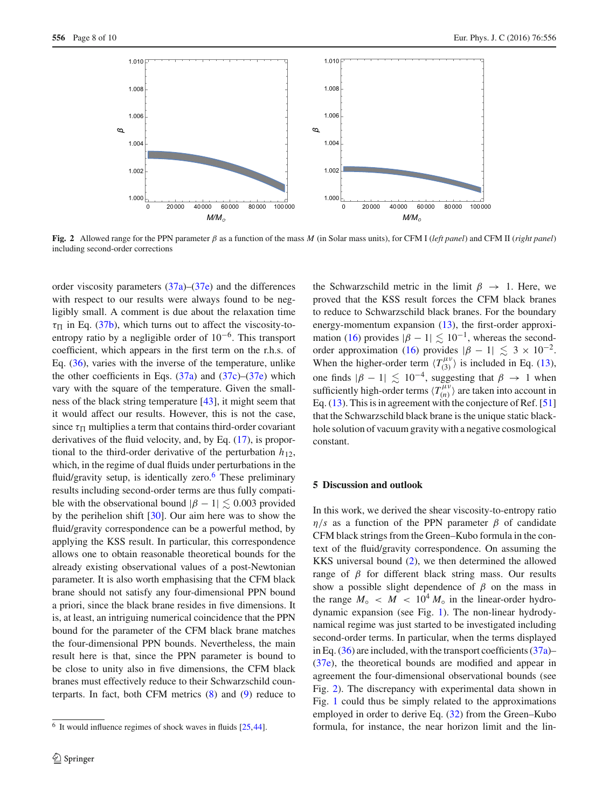

<span id="page-7-1"></span>**Fig. 2** Allowed range for the PPN parameter β as a function of the mass *M* (in Solar mass units), for CFM I (*left panel*) and CFM II (*right panel*) including second-order corrections

order viscosity parameters  $(37a)$ – $(37e)$  and the differences with respect to our results were always found to be negligibly small. A comment is due about the relaxation time  $\tau_{\Pi}$  in Eq. [\(37b\)](#page-6-2), which turns out to affect the viscosity-toentropy ratio by a negligible order of 10−6. This transport coefficient, which appears in the first term on the r.h.s. of Eq. [\(36\)](#page-6-1), varies with the inverse of the temperature, unlike the other coefficients in Eqs.  $(37a)$  and  $(37c)$ – $(37e)$  which vary with the square of the temperature. Given the smallness of the black string temperature [\[43](#page-9-18)], it might seem that it would affect our results. However, this is not the case, since  $\tau_{\Pi}$  multiplies a term that contains third-order covariant derivatives of the fluid velocity, and, by Eq. [\(17\)](#page-4-6), is proportional to the third-order derivative of the perturbation  $h_{12}$ , which, in the regime of dual fluids under perturbations in the fluid/gravity setup, is identically zero.<sup>[6](#page-7-2)</sup> These preliminary results including second-order terms are thus fully compatible with the observational bound  $|\beta - 1| \leq 0.003$  provided by the perihelion shift [\[30](#page-9-5)]. Our aim here was to show the fluid/gravity correspondence can be a powerful method, by applying the KSS result. In particular, this correspondence allows one to obtain reasonable theoretical bounds for the already existing observational values of a post-Newtonian parameter. It is also worth emphasising that the CFM black brane should not satisfy any four-dimensional PPN bound a priori, since the black brane resides in five dimensions. It is, at least, an intriguing numerical coincidence that the PPN bound for the parameter of the CFM black brane matches the four-dimensional PPN bounds. Nevertheless, the main result here is that, since the PPN parameter is bound to be close to unity also in five dimensions, the CFM black branes must effectively reduce to their Schwarzschild counterparts. In fact, both CFM metrics  $(8)$  and  $(9)$  reduce to the Schwarzschild metric in the limit  $\beta \rightarrow 1$ . Here, we proved that the KSS result forces the CFM black branes to reduce to Schwarzschild black branes. For the boundary energy-momentum expansion [\(13\)](#page-3-4), the first-order approxi-mation [\(16\)](#page-3-5) provides  $|\beta - 1| \lesssim 10^{-1}$ , whereas the second-order approximation [\(16\)](#page-3-5) provides  $|\beta - 1| \leq 3 \times 10^{-2}$ . When the higher-order term  $\langle T_{(3)}^{\mu\nu} \rangle$  is included in Eq. [\(13\)](#page-3-4), one finds  $|\beta - 1| \lesssim 10^{-4}$ , suggesting that  $\beta \rightarrow 1$  when sufficiently high-order terms  $\langle T_{(n)}^{\mu\nu} \rangle$  are taken into account in Eq. [\(13\)](#page-3-4). This is in agreement with the conjecture of Ref. [\[51\]](#page-9-20) that the Schwarzschild black brane is the unique static blackhole solution of vacuum gravity with a negative cosmological constant.

## <span id="page-7-0"></span>**5 Discussion and outlook**

In this work, we derived the shear viscosity-to-entropy ratio  $\eta/s$  as a function of the PPN parameter  $\beta$  of candidate CFM black strings from the Green–Kubo formula in the context of the fluid/gravity correspondence. On assuming the KKS universal bound [\(2\)](#page-1-1), we then determined the allowed range of  $β$  for different black string mass. Our results show a possible slight dependence of  $\beta$  on the mass in the range  $M_{\circ}$  <  $M$  < 10<sup>4</sup>  $M_{\circ}$  in the linear-order hydrodynamic expansion (see Fig. [1\)](#page-5-3). The non-linear hydrodynamical regime was just started to be investigated including second-order terms. In particular, when the terms displayed in Eq.  $(36)$  are included, with the transport coefficients  $(37a)$ – [\(37e\)](#page-6-2), the theoretical bounds are modified and appear in agreement the four-dimensional observational bounds (see Fig. [2\)](#page-7-1). The discrepancy with experimental data shown in Fig. [1](#page-5-3) could thus be simply related to the approximations employed in order to derive Eq. [\(32\)](#page-5-4) from the Green–Kubo formula, for instance, the near horizon limit and the lin-

<span id="page-7-2"></span> $6$  It would influence regimes of shock waves in fluids [\[25](#page-9-0)[,44\]](#page-9-19).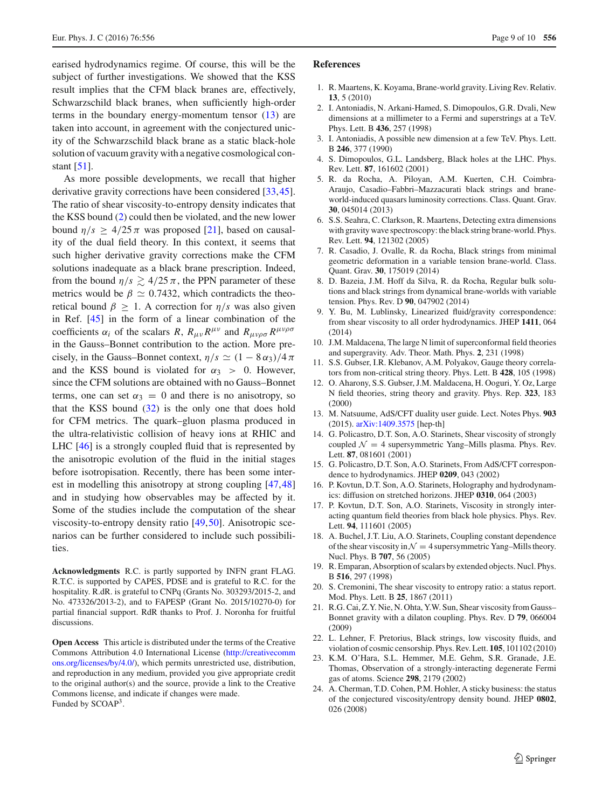earised hydrodynamics regime. Of course, this will be the subject of further investigations. We showed that the KSS result implies that the CFM black branes are, effectively, Schwarzschild black branes, when sufficiently high-order terms in the boundary energy-momentum tensor [\(13\)](#page-3-4) are taken into account, in agreement with the conjectured unicity of the Schwarzschild black brane as a static black-hole solution of vacuum gravity with a negative cosmological constant [\[51\]](#page-9-20).

As more possible developments, we recall that higher derivative gravity corrections have been considered [\[33](#page-9-8)[,45](#page-9-21)]. The ratio of shear viscosity-to-entropy density indicates that the KSS bound [\(2\)](#page-1-1) could then be violated, and the new lower bound  $\eta/s \geq 4/25 \pi$  was proposed [\[21\]](#page-8-12), based on causality of the dual field theory. In this context, it seems that such higher derivative gravity corrections make the CFM solutions inadequate as a black brane prescription. Indeed, from the bound  $\eta/s \gtrsim 4/25 \pi$ , the PPN parameter of these metrics would be  $\beta \simeq 0.7432$ , which contradicts the theoretical bound  $\beta \geq 1$ . A correction for  $\eta/s$  was also given in Ref. [\[45](#page-9-21)] in the form of a linear combination of the coefficients  $\alpha_i$  of the scalars *R*,  $R_{\mu\nu}R^{\mu\nu}$  and  $R_{\mu\nu\rho\sigma}R^{\mu\nu\rho\sigma}$ in the Gauss–Bonnet contribution to the action. More precisely, in the Gauss–Bonnet context,  $\eta/s \simeq (1 - 8\alpha_3)/4\pi$ and the KSS bound is violated for  $\alpha_3 > 0$ . However, since the CFM solutions are obtained with no Gauss–Bonnet terms, one can set  $\alpha_3 = 0$  and there is no anisotropy, so that the KSS bound [\(32\)](#page-5-4) is the only one that does hold for CFM metrics. The quark–gluon plasma produced in the ultra-relativistic collision of heavy ions at RHIC and LHC [\[46](#page-9-22)] is a strongly coupled fluid that is represented by the anisotropic evolution of the fluid in the initial stages before isotropisation. Recently, there has been some interest in modelling this anisotropy at strong coupling [\[47,](#page-9-23)[48\]](#page-9-24) and in studying how observables may be affected by it. Some of the studies include the computation of the shear viscosity-to-entropy density ratio [\[49](#page-9-25)[,50](#page-9-26)]. Anisotropic scenarios can be further considered to include such possibilities.

**Acknowledgments** R.C. is partly supported by INFN grant FLAG. R.T.C. is supported by CAPES, PDSE and is grateful to R.C. for the hospitality. R.dR. is grateful to CNPq (Grants No. 303293/2015-2, and No. 473326/2013-2), and to FAPESP (Grant No. 2015/10270-0) for partial financial support. RdR thanks to Prof. J. Noronha for fruitful discussions.

**Open Access** This article is distributed under the terms of the Creative Commons Attribution 4.0 International License [\(http://creativecomm](http://creativecommons.org/licenses/by/4.0/) [ons.org/licenses/by/4.0/\)](http://creativecommons.org/licenses/by/4.0/), which permits unrestricted use, distribution, and reproduction in any medium, provided you give appropriate credit to the original author(s) and the source, provide a link to the Creative Commons license, and indicate if changes were made. Funded by SCOAP<sup>3</sup>.

## **References**

- <span id="page-8-0"></span>1. R. Maartens, K. Koyama, Brane-world gravity. Living Rev. Relativ. **13**, 5 (2010)
- <span id="page-8-1"></span>2. I. Antoniadis, N. Arkani-Hamed, S. Dimopoulos, G.R. Dvali, New dimensions at a millimeter to a Fermi and superstrings at a TeV. Phys. Lett. B **436**, 257 (1998)
- 3. I. Antoniadis, A possible new dimension at a few TeV. Phys. Lett. B **246**, 377 (1990)
- <span id="page-8-2"></span>4. S. Dimopoulos, G.L. Landsberg, Black holes at the LHC. Phys. Rev. Lett. **87**, 161602 (2001)
- <span id="page-8-3"></span>5. R. da Rocha, A. Piloyan, A.M. Kuerten, C.H. Coimbra-Araujo, Casadio–Fabbri–Mazzacurati black strings and braneworld-induced quasars luminosity corrections. Class. Quant. Grav. **30**, 045014 (2013)
- <span id="page-8-4"></span>6. S.S. Seahra, C. Clarkson, R. Maartens, Detecting extra dimensions with gravity wave spectroscopy: the black string brane-world. Phys. Rev. Lett. **94**, 121302 (2005)
- 7. R. Casadio, J. Ovalle, R. da Rocha, Black strings from minimal geometric deformation in a variable tension brane-world. Class. Quant. Grav. **30**, 175019 (2014)
- <span id="page-8-5"></span>8. D. Bazeia, J.M. Hoff da Silva, R. da Rocha, Regular bulk solutions and black strings from dynamical brane-worlds with variable tension. Phys. Rev. D **90**, 047902 (2014)
- <span id="page-8-6"></span>9. Y. Bu, M. Lublinsky, Linearized fluid/gravity correspondence: from shear viscosity to all order hydrodynamics. JHEP **1411**, 064  $(2014)$
- <span id="page-8-7"></span>10. J.M. Maldacena, The large N limit of superconformal field theories and supergravity. Adv. Theor. Math. Phys. **2**, 231 (1998)
- 11. S.S. Gubser, I.R. Klebanov, A.M. Polyakov, Gauge theory correlators from non-critical string theory. Phys. Lett. B **428**, 105 (1998)
- <span id="page-8-19"></span>12. O. Aharony, S.S. Gubser, J.M. Maldacena, H. Ooguri, Y. Oz, Large N field theories, string theory and gravity. Phys. Rep. **323**, 183 (2000)
- <span id="page-8-8"></span>13. M. Natsuume, AdS/CFT duality user guide. Lect. Notes Phys. **903** (2015). [arXiv:1409.3575](http://arxiv.org/abs/1409.3575) [hep-th]
- <span id="page-8-9"></span>14. G. Policastro, D.T. Son, A.O. Starinets, Shear viscosity of strongly coupled  $\mathcal{N} = 4$  supersymmetric Yang–Mills plasma. Phys. Rev. Lett. **87**, 081601 (2001)
- 15. G. Policastro, D.T. Son, A.O. Starinets, From AdS/CFT correspondence to hydrodynamics. JHEP **0209**, 043 (2002)
- <span id="page-8-10"></span>16. P. Kovtun, D.T. Son, A.O. Starinets, Holography and hydrodynamics: diffusion on stretched horizons. JHEP **0310**, 064 (2003)
- <span id="page-8-14"></span>17. P. Kovtun, D.T. Son, A.O. Starinets, Viscosity in strongly interacting quantum field theories from black hole physics. Phys. Rev. Lett. **94**, 111601 (2005)
- <span id="page-8-15"></span>18. A. Buchel, J.T. Liu, A.O. Starinets, Coupling constant dependence of the shear viscosity in  $\mathcal{N} = 4$  supersymmetric Yang–Mills theory. Nucl. Phys. B **707**, 56 (2005)
- <span id="page-8-18"></span>19. R. Emparan, Absorption of scalars by extended objects. Nucl. Phys. B **516**, 297 (1998)
- <span id="page-8-11"></span>20. S. Cremonini, The shear viscosity to entropy ratio: a status report. Mod. Phys. Lett. B **25**, 1867 (2011)
- <span id="page-8-12"></span>21. R.G. Cai, Z.Y. Nie, N. Ohta, Y.W. Sun, Shear viscosity from Gauss– Bonnet gravity with a dilaton coupling. Phys. Rev. D **79**, 066004 (2009)
- <span id="page-8-13"></span>22. L. Lehner, F. Pretorius, Black strings, low viscosity fluids, and violation of cosmic censorship. Phys. Rev. Lett. **105**, 101102 (2010)
- <span id="page-8-16"></span>23. K.M. O'Hara, S.L. Hemmer, M.E. Gehm, S.R. Granade, J.E. Thomas, Observation of a strongly-interacting degenerate Fermi gas of atoms. Science **298**, 2179 (2002)
- <span id="page-8-17"></span>24. A. Cherman, T.D. Cohen, P.M. Hohler, A sticky business: the status of the conjectured viscosity/entropy density bound. JHEP **0802**, 026 (2008)